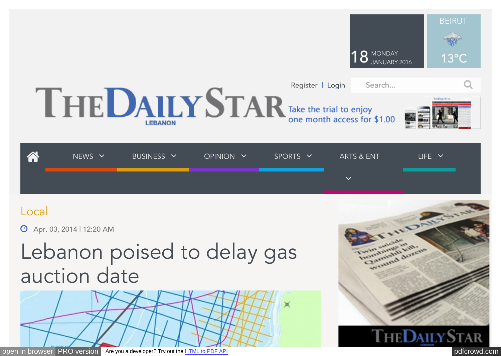

<span id="page-0-0"></span>

## Local

Apr. 03, 2014 | 12:20 AM

# Lebanon poised to delay gas auction date





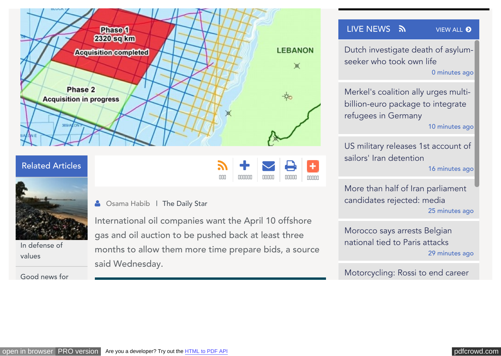

#### [Related Articles](javascript:void(0);)



[In defense of](http://magnet.dailystar.com.lb:90/Log.aspx?appId=6&url=http://www.dailystar.com.lb/Opinion/Editorial/2015/Dec-30/329486-in-defense-of-values.ashx?utm_source=Magnet%26utm_medium=Related%20Articles%20widget%26utm_campaign=Magnet%20tools) values

[Good news for](http://magnet.dailystar.com.lb:90/Log.aspx?appId=6&url=http://www.dailystar.com.lb/Business/Local/2015/Nov-25/324468-good-news-for-cyprus-means-better-news-for-lebanon.ashx?utm_source=Magnet%26utm_medium=Related%20Articles%20widget%26utm_campaign=Magnet%20tools)

**R**  $\Box \Box \Box$ ╉ 000000  $\bigvee$ 00000 **⊖** 00000 00000

**S** [Osama Habib](http://www.dailystar.com.lb/Osama-Habib.ashx) | The Daily Star

International oil companies want the April 10 offshore gas and oil auction to be pushed back at least three months to allow them more time prepare bids, a source said Wednesday.

LIVE NEWS **N** [VIEW ALL](http://www.dailystar.com.lb/LiveNews.aspx) **O** 0 minutes ago 10 minutes ago 16 minutes ago [Dutch investigate death of asylum](http://www.dailystar.com.lb/News/World/2016/Jan-18/332587-dutch-investigate-death-of-asylum-seeker-who-took-own-life.ashx)seeker who took own life [Merkel's coalition ally urges multi](http://www.dailystar.com.lb/News/World/2016/Jan-18/332586-merkels-coalition-ally-urges-multi-billion-euro-package-to-integrate-refugees-in-germany.ashx)billion-euro package to integrate refugees in Germany [US military releases 1st account of](http://www.dailystar.com.lb/News/Middle-East/2016/Jan-18/332585-us-military-releases-1st-account-of-sailors-iran-detention.ashx) sailors' Iran detention [More than half of Iran parliament](http://www.dailystar.com.lb/News/Middle-East/2016/Jan-18/332584-more-than-half-of-iran-parliament-candidates-rejected-media.ashx) candidates rejected: media

25 minutes ago

29 minutes ago [Morocco says arrests Belgian](http://www.dailystar.com.lb/News/Middle-East/2016/Jan-18/332583-morocco-says-arrests-belgian-national-tied-to-paris-attacks.ashx) national tied to Paris attacks

[Motorcycling: Rossi to end career](http://www.dailystar.com.lb/Sports/Motor-Sports/2016/Jan-18/332581-motorcycling-rossi-to-end-career-at-yamaha-but-calls-for-lorenzo-respect.ashx)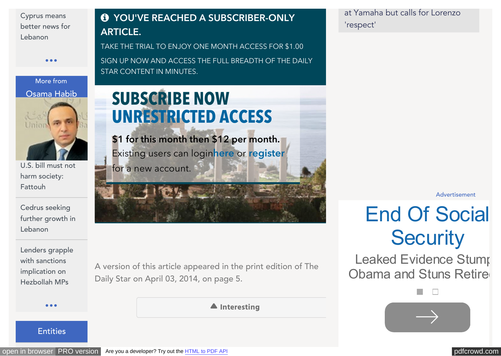Cyprus means [better news for](http://magnet.dailystar.com.lb:90/Log.aspx?appId=6&url=http://www.dailystar.com.lb/Business/Local/2015/Nov-25/324468-good-news-for-cyprus-means-better-news-for-lebanon.ashx?utm_source=Magnet%26utm_medium=Related%20Articles%20widget%26utm_campaign=Magnet%20tools) Lebanon

**[...](http://www.dailystar.com.lb/#)**



[U.S. bill must not](http://www.dailystar.com.lb/Business/Local/2016/Jan-13/331575-us-bill-must-not-harm-society-fattouh.ashx) harm society: Fattouh

Cedrus seeking [further growth in](http://www.dailystar.com.lb/Business/Local/2016/Jan-12/331374-cedrus-seeking-further-growth-in-lebanon.ashx) Lebanon

[Lenders grapple](http://www.dailystar.com.lb/Business/Local/2016/Jan-06/330404-lenders-grapple-with-sanctions-implication-on-hezbollah-mps.ashx) with sanctions implication on Hezbollah MPs

**[...](http://www.dailystar.com.lb/Osama-Habib.ashx)**

**[Entities](#page-0-0)** 

**<sup>6</sup>** YOU'VE REACHED A SUBSCRIBER-ONLY **ARTICLE.**

TAKE THE TRIAL TO ENJOY ONE MONTH ACCESS FOR \$1.00 SIGN UP NOW AND ACCESS THE FULL BREADTH OF THE DAILY STAR CONTENT IN MINUTES.

## **SUBSCRIBE NOW UNRESTRICTED ACCESS**

**\$1 for this month then \$12 per month.** Existing users can login**[here](#page-0-0)** or **register** for a new account.

A version of this article appeared in the print edition of The Daily Star on April 03, 2014, on page 5.

▲ Interesting

[at Yamaha but calls for Lorenzo](http://www.dailystar.com.lb/Sports/Motor-Sports/2016/Jan-18/332581-motorcycling-rossi-to-end-career-at-yamaha-but-calls-for-lorenzo-respect.ashx) 'respect'

Advertisement

# [End Of Social](https://googleads.g.doubleclick.net/aclk?sa=l&ai=CUy2OFgWdVu-tGdfafMqmqlCAssjSCKDCnILOAsCNtwEQASDt0IMCYMnW5o38pKgToAHA2YPIA8gBAagDAcgDwwSqBNQBT9D4LW74DtInOi3OelNqELE2aDj7D_fnL014uS8KTdra31oQtS-QtloOik4UnylF1lIhC5RxCq6hsQhmsHUGqqB0UIH6fRO7OP8xrOa7K0cGnsYQsqWvxfj0jA-ULtl24rocyRsh28hBID2QYCdg13-WsIboE0icHfOCDwQPsoWDty0xULRm-YUwZcQXOkCDSY1yR7I54KnAx6ooi7Zj_YEl_jcTTMopbDGf5O5tH7nlqPXmwg3G8ATElbqujMTJPekuCCKzSY0OXK8V5mEuGTw1TESAB6im_DeoB6a-G9gHAdgTCA&num=1&sig=AOD64_1472SiMczRHsWVTA_nk3OLbSEE8w&client=ca-pub-3836522060572509&adurl=http://thesovereigninvestor.com/exclusives/2016-the-end-of-social-security/%3Fz%3D420534) **Security**

Leaked Evidence Stumps Obama and Stuns Retire

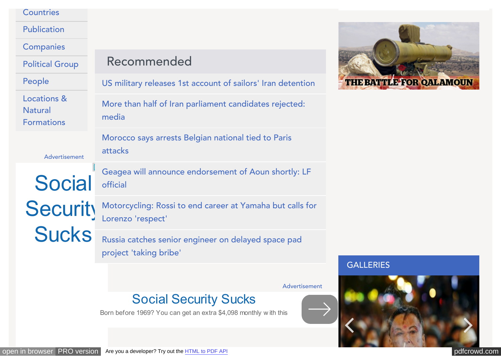| <b>Countries</b>                                   |                                                                  |
|----------------------------------------------------|------------------------------------------------------------------|
| <b>Publication</b>                                 |                                                                  |
| <b>Companies</b>                                   |                                                                  |
| <b>Political Group</b>                             | Recommended                                                      |
| People                                             | US military releases 1st account of sailors' Iran detention      |
| Locations &<br><b>Natural</b><br><b>Formations</b> | More than half of Iran parliament candidates rejected:<br>media  |
| Advertisement                                      | Morocco says arrests Belgian national tied to Paris<br>attacks   |
|                                                    | Geagea will announce endorsement of Aoun shortly: LF<br>official |

**THE BATTLE FOR QALAMOUN** 

[Security](https://googleads.g.doubleclick.net/aclk?sa=l&ai=CtQwLGgWdVpP1D4jNfJ6Wu5AL65P-yweL1Kq3zgLAjbcBEAEg7dCDAmDJ1uaN_KSoE6ABl-W-xgPIAQGoAwHIA8MEqgTXAU_QKboNWu01suUlSF9qdEyEaxRYwTvzd_aMJAfiTKJuK_CZe0JY6dT1pThB5ODyqD0mEOp1Kj_szq0clmQI2AuyvaLaARIcQ31_ULpGC4oXcrjCg5sF86gfpndCNU4dvfIHVn1TfsRR5dNFBCWvSccQPz25_7feMmp7p0LC5-1i2V4KgqMpy3AbjLpJp6Hck0RKprAG7gSUq23aob7xBAxcNyr7_AZ_7bK54d1YyRWP9E1A71C9eHIzH2HWJoYinFw57AMC59kYnyqEIRUtliBYekeiXtrugAfTiqgkqAemvhvYBwE&num=1&sig=AOD64_3K9iq5OHAAq5mDPJMWEte0ubU3RQ&client=ca-pub-3836522060572509&adurl=http://pros.palmbeachgroup.com/1512PBLSS/PPBLRC10/%3Fh%3Dtrue) [Motorcycling: Rossi to end career at Yamaha but calls for](http://www.dailystar.com.lb/Sports/Motor-Sports/2016/Jan-18/332581-motorcycling-rossi-to-end-career-at-yamaha-but-calls-for-lorenzo-respect.ashx) Lorenzo 'respect'

> [Russia catches senior engineer on delayed space pad](http://www.dailystar.com.lb/News/World/2016/Jan-18/332580-russia-catches-senior-engineer-on-delayed-space-pad-project-taking-bribe.ashx) project 'taking bribe'

> > Advertisement

## [Social Security Sucks](https://googleads.g.doubleclick.net/aclk?sa=l&ai=C_dMVFQWdVqrtJ9LZfNW5tbAM65P-yweL1Kq3zgLAjbcBEAEg7dCDAmDJ1uaN_KSoE6ABl-W-xgPIAQGoAwHIA8MEqgTWAU_Q29SW4eb8lCzHBqshRcp6RHWLKT6pyAcsVmmUB8nNwo8ax0J9LojDR_H4UBV89pdAB3kiKWaCGnmVqN3iGGnzHvBMncO99XRPZbBIlApUuRzh81sC5rP9xXYxF8TVy2s-d3tc1i__8KiIboDTcTciiMQ8t1ryyF4kyg6Z01IZqLI5-OajEjz5qVGXgJc64OHFNMQyOwoyqRT-HbUjQLZR1hYNj1nubciMcPnY5021XUJ4nMknQ9LW0Cf6PNNoGmwdH1qvvcP0hJMv69du664XDBowCdSAB9OKqCSoB6a-G9gHAQ&num=1&sig=AOD64_3wQk6wUKVo9ykECaVktCghUN1_hw&client=ca-pub-3836522060572509&adurl=http://pros.palmbeachgroup.com/1512PBLSS/PPBLRC10/%3Fh%3Dtrue)

Born before 1969? You can get an extra \$4,098 monthly w ith this





**Sucks** 

pdfcrowd.com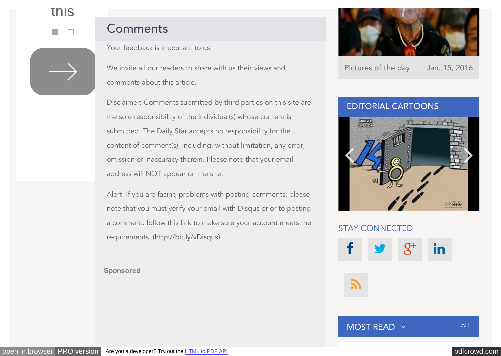this

### **Comments**

Your feedback is important to us!

We invite all our readers to share with us their views and comments about this article.

Disclaimer: Comments submitted by third parties on this site are the sole responsibility of the individual(s) whose content is submitted. The Daily Star accepts no responsibility for the content of comment(s), including, without limitation, any error, omission or inaccuracy therein. Please note that your email address will NOT appear on the site.

Alert: If you are facing problems with posting comments, please note that you must verify your email with Disqus prior to posting a comment. follow this link to make sure your account meets the requirements. ([http://bit.ly/vDisqus\)](http://bit.ly/vDisqus)

#### **Sponsored**



[Pictures of the day](http://www.dailystar.com.lb/PhotoGallery.aspx?id=1529) Jan. 15, 2016

#### EDITORIAL CARTOONS



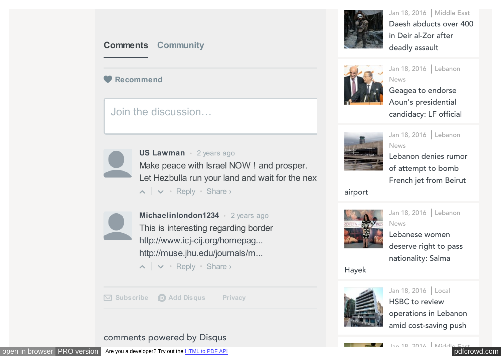#### **Comments [Community](https://disqus.com/home/forums/dailystarleb/)**

#### **[Recommend](http://disqus.com/embed/comments/?base=default&version=e5b477b3df23772276f88d4d5901b263&f=dailystarleb&t_u=http%3A%2F%2Fwww.dailystar.com.lb%2FBusiness%2FLebanon%2F2014%2FApr-03%2F252115-lebanon-poised-to-delay-gas-auction-date.ashx&t_d=Lebanon%20poised%20to%20delay%20gas%20auction%20date%20%7C%20Business%20%2C%20Local%20%7C%20THE%20DAILY%20STAR&t_t=Lebanon%20poised%20to%20delay%20gas%20auction%20date%20%7C%20Business%20%2C%20Local%20%7C%20THE%20DAILY%20STAR&s_o=default#)**

#### Join the discussion…



 $\lambda \mid \mathbf{v} \cdot \mathsf{Reply} \cdot \mathsf{Share}$  $\lambda \mid \mathbf{v} \cdot \mathsf{Reply} \cdot \mathsf{Share}$  $\lambda \mid \mathbf{v} \cdot \mathsf{Reply} \cdot \mathsf{Share}$ **[US Lawman](https://disqus.com/by/uslawman/)** • [2 years ago](#page-0-0) Make peace with Israel NOW ! and prosper. Let Hezbulla run your land and wait for the next



**[Michaelinlondon1234](https://disqus.com/by/Michaelinlondon1234/)** • [2 years ago](#page-0-0) This is interesting regarding border [http://www.icj-cij.org/homepag...](http://www.icj-cij.org/homepage/index.php?lang=en) [http://muse.jhu.edu/journals/m...](http://muse.jhu.edu/journals/med/summary/v018/18.3anyu.html)

 $\lambda$   $\vee$  • [Reply](http://disqus.com/embed/comments/?base=default&version=e5b477b3df23772276f88d4d5901b263&f=dailystarleb&t_u=http%3A%2F%2Fwww.dailystar.com.lb%2FBusiness%2FLebanon%2F2014%2FApr-03%2F252115-lebanon-poised-to-delay-gas-auction-date.ashx&t_d=Lebanon%20poised%20to%20delay%20gas%20auction%20date%20%7C%20Business%20%2C%20Local%20%7C%20THE%20DAILY%20STAR&t_t=Lebanon%20poised%20to%20delay%20gas%20auction%20date%20%7C%20Business%20%2C%20Local%20%7C%20THE%20DAILY%20STAR&s_o=default#) • Share ›

✉ **[Subscribe](http://disqus.com/embed/comments/?base=default&version=e5b477b3df23772276f88d4d5901b263&f=dailystarleb&t_u=http%3A%2F%2Fwww.dailystar.com.lb%2FBusiness%2FLebanon%2F2014%2FApr-03%2F252115-lebanon-poised-to-delay-gas-auction-date.ashx&t_d=Lebanon%20poised%20to%20delay%20gas%20auction%20date%20%7C%20Business%20%2C%20Local%20%7C%20THE%20DAILY%20STAR&t_t=Lebanon%20poised%20to%20delay%20gas%20auction%20date%20%7C%20Business%20%2C%20Local%20%7C%20THE%20DAILY%20STAR&s_o=default#)** d **[Add Disqus](https://publishers.disqus.com/engage?utm_source=dailystarleb&utm_medium=Disqus-Footer) [Privacy](https://help.disqus.com/customer/portal/articles/1657951?utm_source=disqus&utm_medium=embed-footer&utm_content=privacy-btn)**

Jan 18, 2016 | Middle East [Daesh abducts over 400](http://www.dailystar.com.lb/News/Middle-East/2016/Jan-18/332486-daesh-abducts-over-400-in-deir-al-zor-after-deadly-assault.ashx) in Deir al-Zor after deadly assault



Jan 18, 2016 Lebanon News

[G](http://www.dailystar.com.lb/News/Lebanon-News/2016/Jan-18/332528-officials-restless-ahead-of-geagea-presser.ashx)eagea to endorse Aoun's presidential [candidacy: LF official](http://www.dailystar.com.lb/News/Lebanon-News/2016/Jan-18/332528-officials-restless-ahead-of-geagea-presser.ashx) 



Jan 18, 2016 Lebanon News

[Lebanon denies rumor](http://www.dailystar.com.lb/News/Lebanon-News/2016/Jan-18/332483-lebanon-denies-rumor-of-attempt-to-bomb-french-jet-from-beirut-airport.ashx) of attempt to bomb French jet from Beirut

airport



Jan 18, 2016 | Lebanon News

[L](http://www.dailystar.com.lb/News/Lebanon-News/2016/Jan-18/332521-lebanese-women-deserve-right-to-pass-nationality-salma-hayek.ashx)ebanese women [deserve right to pass](http://www.dailystar.com.lb/News/Lebanon-News/2016/Jan-18/332521-lebanese-women-deserve-right-to-pass-nationality-salma-hayek.ashx) nationality: Salma

Hayek



Jan 18, 2016 | Local [HSBC to review](https://disqus.com/) [operations in Lebanon](http://www.dailystar.com.lb/Business/Local/2016/Jan-18/332427-hsbc-to-review-operations-in-lebanon-amid-cost-saving-push.ashx) amid cost-saving push

[comments powered by Disqus](http://disqus.com/)

[J](http://www.dailystar.com.lb/News/Middle-East/2016/Jan-18/332476-israel-licks-wounds-as-iran-sanctions-end.ashx)an 18, 2016 Middle East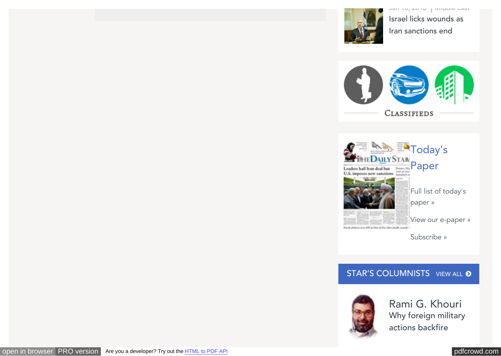





#### [STAR'S COLUMNIST](http://www.pressreader.com/lebanon/the-daily-star-lebanon)S [VIEW ALL](http://www.dailystar.com.lb/Authors.aspx) O



[Why foreign military](http://www.dailystar.com.lb/Opinion/Columnist/2016/Jan-16/332196-why-foreign-military-actions-backfire.ashx) actions backfire [Rami G. Khouri](http://www.dailystar.com.lb/Rami-G-Khouri.ashx)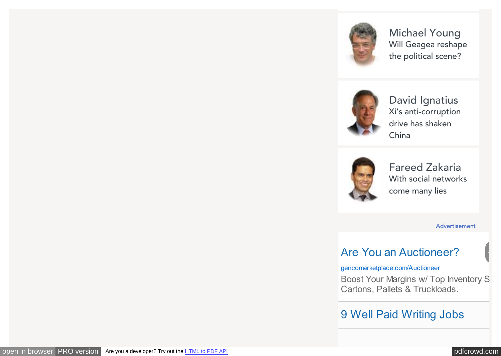

[Will Geagea reshape](http://www.dailystar.com.lb/Opinion/Columnist/2016/Jan-14/331821-will-geagea-reshape-the-political-scene.ashx) the political scene? [Michael Young](http://www.dailystar.com.lb/Michael-Young.ashx)



[Xi's anti-corruption](http://www.dailystar.com.lb/Opinion/Columnist/2016/Jan-16/332197-xis-anti-corruption-drive-has-shaken-china.ashx) drive has shaken China [David Ignatius](http://www.dailystar.com.lb/David-Ignatius.ashx)



[With social networks](http://www.dailystar.com.lb/Opinion/Commentary/2016/Jan-18/332444-with-social-networks-come-many-lies.ashx) come many lies [Fareed Zakaria](http://www.dailystar.com.lb/Fareed-Zakaria.ashx)

Advertisement

## [Are You an Auctioneer?](https://googleads.g.doubleclick.net/aclk?sa=l&ai=CabzXFgWdVo3jJ8XYfKG8o6AP5qDyrwi2gLjj3gLAjbcBEAEg7dCDAigEYMnW5o38pKgToAG-6Ov6A8gBAagDAcgDwwSqBNoBT9CAbNeS6O_JgJQMePw1rHT4N5l2v1zsGQOYuzWKljGKvKbOAd9Vp1lU1dnpOqsPTQG1wrH6uPIO8Io_XmdpR4LappwNfhGhAUitwmj4A7btFEf0iUsQ8SdTcLzgywCpPk473mYPqaiA_x4L-mBjZLV1Go3HIjyYCumqz0zOULjTejPP1tXI6dkjcZQ_c9eYZ-enRNSrMBPbrZU4Pq8dWgOfOcc6Gqv5jCU-IsVRoiapgWnkCW9lfnto-lrROq8UsgxnNtMy9MW0qkJ90x8J6jub_uDNz9wHCIKAB6qXlAWoB6a-G9gHAQ&num=1&sig=AOD64_3m-j7bRhAkRP9EnXuKAzxGsNKwjw&client=ca-pub-3836522060572509&adurl=https://www.gencomarketplace.com/shop/en/gencomarketplace-gencomarketplace/page/cc/auctioneer)

#### [gencomarketplace.com/Auctioneer](https://googleads.g.doubleclick.net/aclk?sa=l&ai=CabzXFgWdVo3jJ8XYfKG8o6AP5qDyrwi2gLjj3gLAjbcBEAEg7dCDAigEYMnW5o38pKgToAG-6Ov6A8gBAagDAcgDwwSqBNoBT9CAbNeS6O_JgJQMePw1rHT4N5l2v1zsGQOYuzWKljGKvKbOAd9Vp1lU1dnpOqsPTQG1wrH6uPIO8Io_XmdpR4LappwNfhGhAUitwmj4A7btFEf0iUsQ8SdTcLzgywCpPk473mYPqaiA_x4L-mBjZLV1Go3HIjyYCumqz0zOULjTejPP1tXI6dkjcZQ_c9eYZ-enRNSrMBPbrZU4Pq8dWgOfOcc6Gqv5jCU-IsVRoiapgWnkCW9lfnto-lrROq8UsgxnNtMy9MW0qkJ90x8J6jub_uDNz9wHCIKAB6qXlAWoB6a-G9gHAQ&num=1&sig=AOD64_3m-j7bRhAkRP9EnXuKAzxGsNKwjw&client=ca-pub-3836522060572509&adurl=https://www.gencomarketplace.com/shop/en/gencomarketplace-gencomarketplace/page/cc/auctioneer)

Boost Your Margins w/ Top Inventory S Cartons, Pallets & Truckloads.

## [9 Well Paid Writing Jobs](https://googleads.g.doubleclick.net/aclk?sa=l&ai=CnBF_FgWdVo3jJ8XYfKG8o6APyL6g9gugodS3nAHAjbcBEAIg7dCDAigEYMnW5o38pKgToAHQpovEA8gBAagDAcgDwwSqBNcBT9CgYc2S6-_JgJQMePw1rHT4N5l2v1zsGQOYuzWKljGKvKbOAd9Vp1lU1dnpOqsPTQG1wrH6uPIO8Io_XmdpR4LappwNfhGhAUitwmj4A7btFEf0iUsQ8SdTcLzgywCpPk473mYPqaiA_x4L-mBjZLV1Go3HIjyYCumqz0zOULjTejPP1tXI6dkjcZQ_c9eYZ-enRNSrMBPbre07Pucduwx-wfqXmGQSZvPQyTfbSc0mM4ISu27Qf73d-74AOZ7FsR1CPdMX_8VDr0OK1h706Ttz-BinOhmAB5jZ9DuoB6a-G9gHAdgTCA&num=2&sig=AOD64_239jLuHxTrS0UEdr5qt2uKIHToWg&client=ca-pub-3836522060572509&adurl=http://www.thebarefootwriter.com/free/get-started/%3Futm_source%3Dgoogle%26utm_medium%3Dcpc%26utm_campaign%3DGOOE02)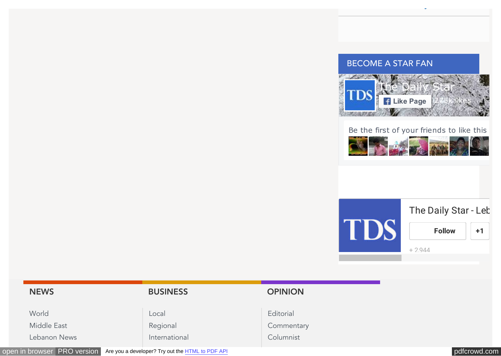#### BECOME A STAR FAN



[The US Economy Will Crash](https://googleads.g.doubleclick.net/aclk?sa=l&ai=C84RpFgWdVo3jJ8XYfKG8o6AP947-ogffjcDXngLAjbcBEAMg7dCDAigEYMnW5o38pKgToAGR6eDJA8gBAagDAcgDwwSqBNcBT9CwIMOS6u_JgJQMePw1rHT4N5l2v1zsGQOYuzWKljGKvKbOAd9Vp1lU1dnpOqsPTQG1wrH6uPIO8Io_XmdpR4LappwNfhGhAUitwmj4A7btFEf0iUsQ8SdTcLzgywCpPk473mYPqaiA_x4L-mBjZLV1Go3HIjyYCumqz0zOULjTejPP1tXI6dkjcZQ_c9eYZ-enRNSrMBPbre07Pucd5BBRvPqXmGQSZvPQyTfbSc0mM4ISu27Qf73d-74AOZ7FsR1CPdMX_8VDr0OK1h706Ttz-DeJQxWAB9eWnzaoB6a-G9gHAQ&num=3&sig=AOD64_2aj0ykLLL95iCPtUQFG24Hf4A2QA&client=ca-pub-3836522060572509&adurl=http://moneymorningresearch.com/leads/us-economy/%3Fsrc%3Dadwords) and Will Crash

#### Be the first of your friends to like this



## The Daily Star - Leb

| <b>Follow</b><br>+1 |
|---------------------|
|---------------------|

+ 2,944

**TDS** 

| <b>NEWS</b>                 | <b>BUSINESS</b>                                  | <b>OPINION</b> |
|-----------------------------|--------------------------------------------------|----------------|
| World                       | Local                                            | Editorial      |
| Middle East                 | Regional                                         | Commentary     |
| Lebanon News                | International                                    | Columnist      |
| open in browser PRO version | Are you a developer? Try out the HTML to PDF API |                |